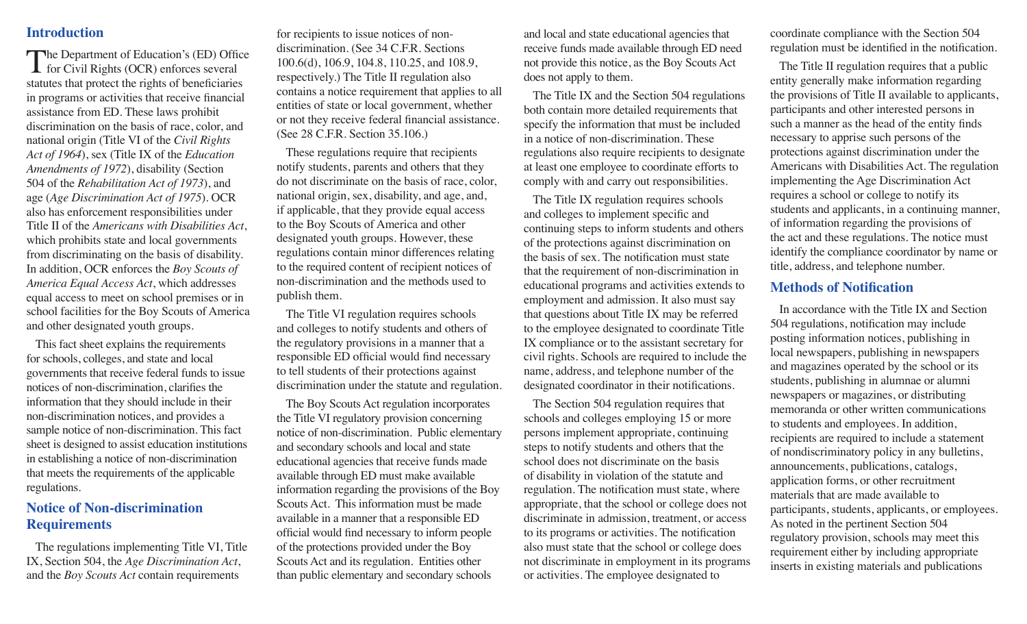### **Introduction**

The Department of Education's (ED) Office  $\blacktriangle$  for Civil Rights (OCR) enforces several statutes that protect the rights of beneficiaries in programs or activities that receive financial assistance from ED. These laws prohibit discrimination on the basis of race, color, and national origin (Title VI of the *Civil Rights Act of 1964*), sex (Title IX of the *Education Amendments of 1972*), disability (Section 504 of the *Rehabilitation Act of 1973*), and age (*Age Discrimination Act of 1975*). OCR also has enforcement responsibilities under Title II of the *Americans with Disabilities Act*, which prohibits state and local governments from discriminating on the basis of disability. In addition, OCR enforces the *Boy Scouts of America Equal Access Act*, which addresses equal access to meet on school premises or in school facilities for the Boy Scouts of America and other designated youth groups.

This fact sheet explains the requirements for schools, colleges, and state and local governments that receive federal funds to issue notices of non-discrimination, clarifies the information that they should include in their non-discrimination notices, and provides a sample notice of non-discrimination. This fact sheet is designed to assist education institutions in establishing a notice of non-discrimination that meets the requirements of the applicable regulations.

# **Notice of Non-discrimination Requirements**

The regulations implementing Title VI, Title IX, Section 504, the *Age Discrimination Act*, and the *Boy Scouts Act* contain requirements

for recipients to issue notices of nondiscrimination. (See 34 C.F.R. Sections 100.6(d), 106.9, 104.8, 110.25, and 108.9, respectively.) The Title II regulation also contains a notice requirement that applies to all entities of state or local government, whether or not they receive federal financial assistance. (See 28 C.F.R. Section 35.106.)

These regulations require that recipients notify students, parents and others that they do not discriminate on the basis of race, color, national origin, sex, disability, and age, and, if applicable, that they provide equal access to the Boy Scouts of America and other designated youth groups. However, these regulations contain minor differences relating to the required content of recipient notices of non-discrimination and the methods used to publish them.

The Title VI regulation requires schools and colleges to notify students and others of the regulatory provisions in a manner that a responsible ED official would find necessary to tell students of their protections against discrimination under the statute and regulation.

The Boy Scouts Act regulation incorporates the Title VI regulatory provision concerning notice of non-discrimination. Public elementary and secondary schools and local and state educational agencies that receive funds made available through ED must make available information regarding the provisions of the Boy Scouts Act. This information must be made available in a manner that a responsible ED official would find necessary to inform people of the protections provided under the Boy Scouts Act and its regulation. Entities other than public elementary and secondary schools

and local and state educational agencies that receive funds made available through ED need not provide this notice, as the Boy Scouts Act does not apply to them.

The Title IX and the Section 504 regulations both contain more detailed requirements that specify the information that must be included in a notice of non-discrimination. These regulations also require recipients to designate at least one employee to coordinate efforts to comply with and carry out responsibilities.

The Title IX regulation requires schools and colleges to implement specific and continuing steps to inform students and others of the protections against discrimination on the basis of sex. The notification must state that the requirement of non-discrimination in educational programs and activities extends to employment and admission. It also must say that questions about Title IX may be referred to the employee designated to coordinate Title IX compliance or to the assistant secretary for civil rights. Schools are required to include the name, address, and telephone number of the designated coordinator in their notifications.

The Section 504 regulation requires that schools and colleges employing 15 or more persons implement appropriate, continuing steps to notify students and others that the school does not discriminate on the basis of disability in violation of the statute and regulation. The notification must state, where appropriate, that the school or college does not discriminate in admission, treatment, or access to its programs or activities. The notification also must state that the school or college does not discriminate in employment in its programs or activities. The employee designated to

coordinate compliance with the Section 504 regulation must be identified in the notification.

The Title II regulation requires that a public entity generally make information regarding the provisions of Title II available to applicants, participants and other interested persons in such a manner as the head of the entity finds necessary to apprise such persons of the protections against discrimination under the Americans with Disabilities Act. The regulation implementing the Age Discrimination Act requires a school or college to notify its students and applicants, in a continuing manner, of information regarding the provisions of the act and these regulations. The notice must identify the compliance coordinator by name or title, address, and telephone number.

### **Methods of Notification**

In accordance with the Title IX and Section 504 regulations, notification may include posting information notices, publishing in local newspapers, publishing in newspapers and magazines operated by the school or its students, publishing in alumnae or alumni newspapers or magazines, or distributing memoranda or other written communications to students and employees. In addition, recipients are required to include a statement of nondiscriminatory policy in any bulletins, announcements, publications, catalogs, application forms, or other recruitment materials that are made available to participants, students, applicants, or employees. As noted in the pertinent Section 504 regulatory provision, schools may meet this requirement either by including appropriate inserts in existing materials and publications